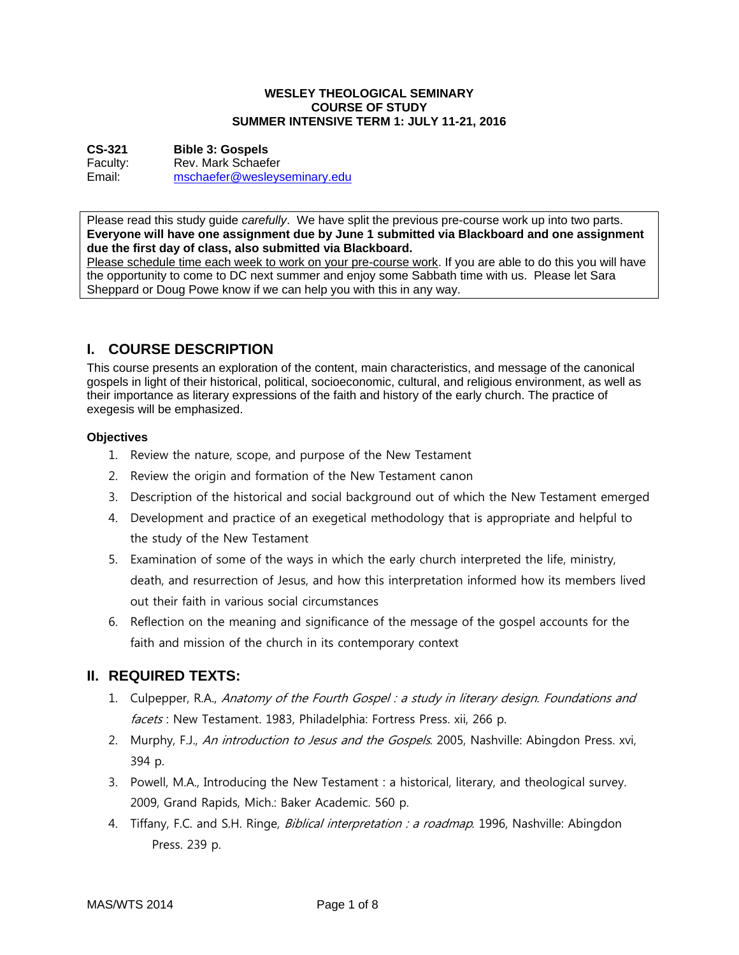#### **WESLEY THEOLOGICAL SEMINARY COURSE OF STUDY SUMMER INTENSIVE TERM 1: JULY 11-21, 2016**

**CS-321 Bible 3: Gospels**  Faculty: Rev. Mark Schaefer Email: mschaefer@wesleyseminary.edu

Please read this study guide *carefully*. We have split the previous pre-course work up into two parts. **Everyone will have one assignment due by June 1 submitted via Blackboard and one assignment due the first day of class, also submitted via Blackboard.** 

Please schedule time each week to work on your pre-course work. If you are able to do this you will have the opportunity to come to DC next summer and enjoy some Sabbath time with us. Please let Sara Sheppard or Doug Powe know if we can help you with this in any way.

# **I. COURSE DESCRIPTION**

This course presents an exploration of the content, main characteristics, and message of the canonical gospels in light of their historical, political, socioeconomic, cultural, and religious environment, as well as their importance as literary expressions of the faith and history of the early church. The practice of exegesis will be emphasized.

## **Objectives**

- 1. Review the nature, scope, and purpose of the New Testament
- 2. Review the origin and formation of the New Testament canon
- 3. Description of the historical and social background out of which the New Testament emerged
- 4. Development and practice of an exegetical methodology that is appropriate and helpful to the study of the New Testament
- 5. Examination of some of the ways in which the early church interpreted the life, ministry, death, and resurrection of Jesus, and how this interpretation informed how its members lived out their faith in various social circumstances
- 6. Reflection on the meaning and significance of the message of the gospel accounts for the faith and mission of the church in its contemporary context

# **II. REQUIRED TEXTS:**

- 1. Culpepper, R.A., Anatomy of the Fourth Gospel : a study in literary design. Foundations and facets : New Testament. 1983, Philadelphia: Fortress Press. xii, 266 p.
- 2. Murphy, F.J., An introduction to Jesus and the Gospels. 2005, Nashville: Abingdon Press. xvi, 394 p.
- 3. Powell, M.A., Introducing the New Testament : a historical, literary, and theological survey. 2009, Grand Rapids, Mich.: Baker Academic. 560 p.
- 4. Tiffany, F.C. and S.H. Ringe, *Biblical interpretation : a roadmap*. 1996, Nashville: Abingdon Press. 239 p.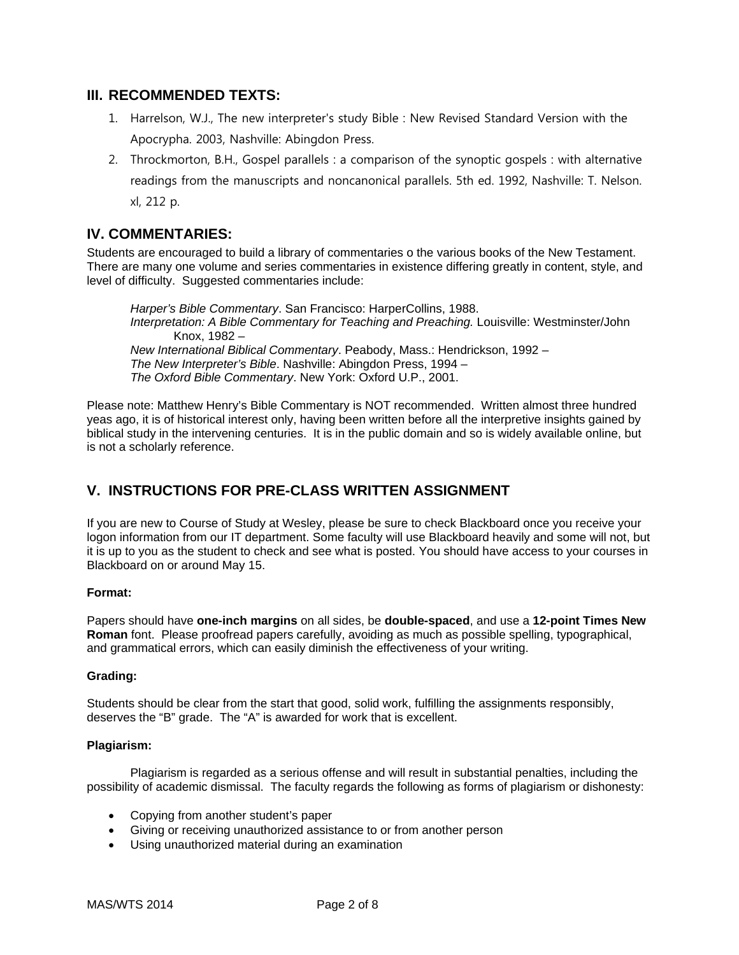## **III. RECOMMENDED TEXTS:**

- 1. Harrelson, W.J., The new interpreter's study Bible : New Revised Standard Version with the Apocrypha. 2003, Nashville: Abingdon Press.
- 2. Throckmorton, B.H., Gospel parallels : a comparison of the synoptic gospels : with alternative readings from the manuscripts and noncanonical parallels. 5th ed. 1992, Nashville: T. Nelson. xl, 212 p.

# **IV. COMMENTARIES:**

Students are encouraged to build a library of commentaries o the various books of the New Testament. There are many one volume and series commentaries in existence differing greatly in content, style, and level of difficulty. Suggested commentaries include:

*Harper's Bible Commentary*. San Francisco: HarperCollins, 1988. *Interpretation: A Bible Commentary for Teaching and Preaching. Louisville: Westminster/John* Knox, 1982 – *New International Biblical Commentary*. Peabody, Mass.: Hendrickson, 1992 – *The New Interpreter's Bible*. Nashville: Abingdon Press, 1994 – *The Oxford Bible Commentary*. New York: Oxford U.P., 2001.

Please note: Matthew Henry's Bible Commentary is NOT recommended. Written almost three hundred yeas ago, it is of historical interest only, having been written before all the interpretive insights gained by biblical study in the intervening centuries. It is in the public domain and so is widely available online, but is not a scholarly reference.

# **V. INSTRUCTIONS FOR PRE-CLASS WRITTEN ASSIGNMENT**

If you are new to Course of Study at Wesley, please be sure to check Blackboard once you receive your logon information from our IT department. Some faculty will use Blackboard heavily and some will not, but it is up to you as the student to check and see what is posted. You should have access to your courses in Blackboard on or around May 15.

## **Format:**

Papers should have **one-inch margins** on all sides, be **double-spaced**, and use a **12-point Times New Roman** font. Please proofread papers carefully, avoiding as much as possible spelling, typographical, and grammatical errors, which can easily diminish the effectiveness of your writing.

## **Grading:**

Students should be clear from the start that good, solid work, fulfilling the assignments responsibly, deserves the "B" grade. The "A" is awarded for work that is excellent.

#### **Plagiarism:**

 Plagiarism is regarded as a serious offense and will result in substantial penalties, including the possibility of academic dismissal. The faculty regards the following as forms of plagiarism or dishonesty:

- Copying from another student's paper
- Giving or receiving unauthorized assistance to or from another person
- Using unauthorized material during an examination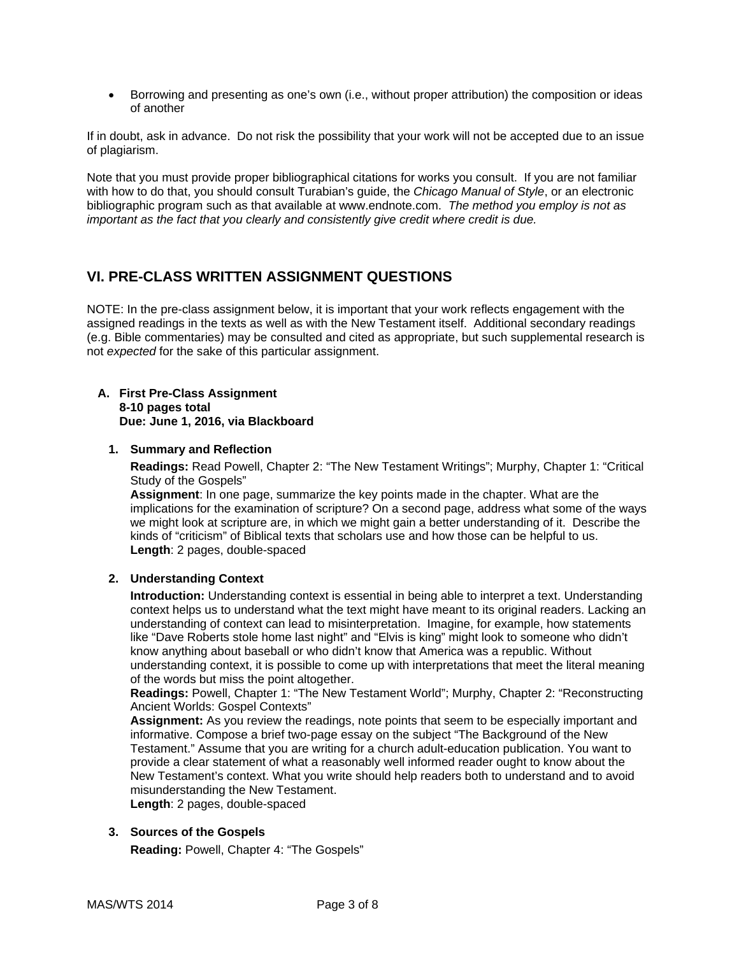Borrowing and presenting as one's own (i.e., without proper attribution) the composition or ideas of another

If in doubt, ask in advance. Do not risk the possibility that your work will not be accepted due to an issue of plagiarism.

Note that you must provide proper bibliographical citations for works you consult. If you are not familiar with how to do that, you should consult Turabian's guide, the *Chicago Manual of Style*, or an electronic bibliographic program such as that available at www.endnote.com. *The method you employ is not as important as the fact that you clearly and consistently give credit where credit is due.* 

# **VI. PRE-CLASS WRITTEN ASSIGNMENT QUESTIONS**

NOTE: In the pre-class assignment below, it is important that your work reflects engagement with the assigned readings in the texts as well as with the New Testament itself. Additional secondary readings (e.g. Bible commentaries) may be consulted and cited as appropriate, but such supplemental research is not *expected* for the sake of this particular assignment.

#### **A. First Pre-Class Assignment 8-10 pages total Due: June 1, 2016, via Blackboard**

#### **1. Summary and Reflection**

**Readings:** Read Powell, Chapter 2: "The New Testament Writings"; Murphy, Chapter 1: "Critical Study of the Gospels"

**Assignment**: In one page, summarize the key points made in the chapter. What are the implications for the examination of scripture? On a second page, address what some of the ways we might look at scripture are, in which we might gain a better understanding of it. Describe the kinds of "criticism" of Biblical texts that scholars use and how those can be helpful to us. **Length**: 2 pages, double-spaced

## **2. Understanding Context**

**Introduction:** Understanding context is essential in being able to interpret a text. Understanding context helps us to understand what the text might have meant to its original readers. Lacking an understanding of context can lead to misinterpretation. Imagine, for example, how statements like "Dave Roberts stole home last night" and "Elvis is king" might look to someone who didn't know anything about baseball or who didn't know that America was a republic. Without understanding context, it is possible to come up with interpretations that meet the literal meaning of the words but miss the point altogether.

**Readings:** Powell, Chapter 1: "The New Testament World"; Murphy, Chapter 2: "Reconstructing Ancient Worlds: Gospel Contexts"

**Assignment:** As you review the readings, note points that seem to be especially important and informative. Compose a brief two-page essay on the subject "The Background of the New Testament." Assume that you are writing for a church adult-education publication. You want to provide a clear statement of what a reasonably well informed reader ought to know about the New Testament's context. What you write should help readers both to understand and to avoid misunderstanding the New Testament.

**Length**: 2 pages, double-spaced

## **3. Sources of the Gospels**

**Reading:** Powell, Chapter 4: "The Gospels"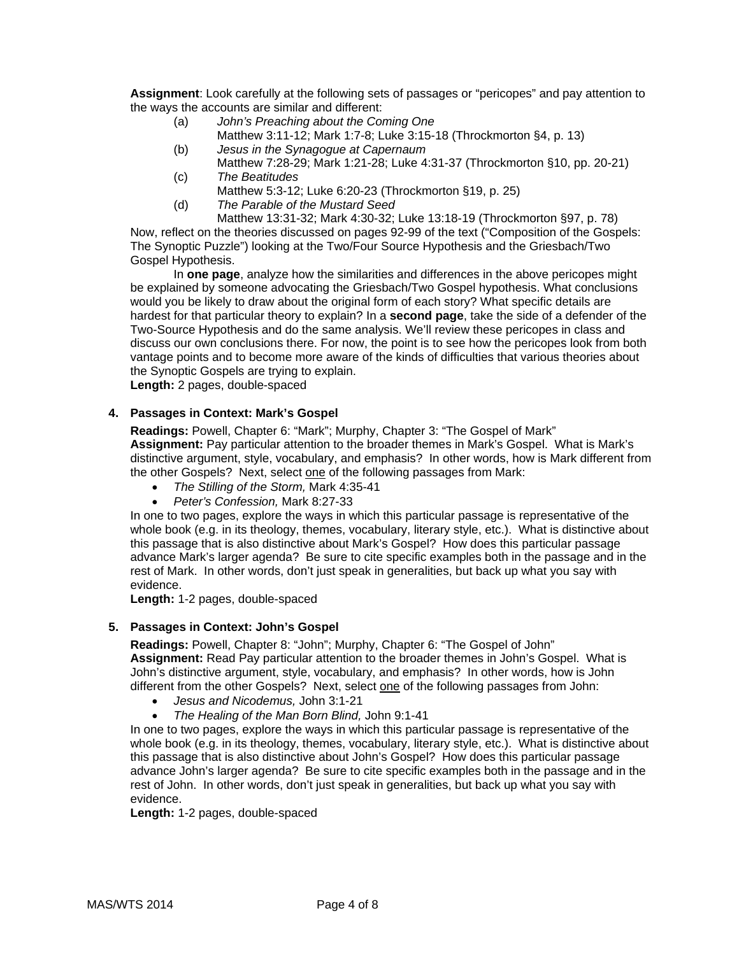**Assignment**: Look carefully at the following sets of passages or "pericopes" and pay attention to the ways the accounts are similar and different:

- (a) *John's Preaching about the Coming One*
	- Matthew 3:11-12; Mark 1:7-8; Luke 3:15-18 (Throckmorton §4, p. 13)
- (b) *Jesus in the Synagogue at Capernaum*
- Matthew 7:28-29; Mark 1:21-28; Luke 4:31-37 (Throckmorton §10, pp. 20-21) (c) *The Beatitudes*
- Matthew 5:3-12; Luke 6:20-23 (Throckmorton §19, p. 25)
- (d) *The Parable of the Mustard Seed*

 Matthew 13:31-32; Mark 4:30-32; Luke 13:18-19 (Throckmorton §97, p. 78) Now, reflect on the theories discussed on pages 92-99 of the text ("Composition of the Gospels: The Synoptic Puzzle") looking at the Two/Four Source Hypothesis and the Griesbach/Two Gospel Hypothesis.

 In **one page**, analyze how the similarities and differences in the above pericopes might be explained by someone advocating the Griesbach/Two Gospel hypothesis. What conclusions would you be likely to draw about the original form of each story? What specific details are hardest for that particular theory to explain? In a **second page**, take the side of a defender of the Two-Source Hypothesis and do the same analysis. We'll review these pericopes in class and discuss our own conclusions there. For now, the point is to see how the pericopes look from both vantage points and to become more aware of the kinds of difficulties that various theories about the Synoptic Gospels are trying to explain.

**Length:** 2 pages, double-spaced

## **4. Passages in Context: Mark's Gospel**

**Readings:** Powell, Chapter 6: "Mark"; Murphy, Chapter 3: "The Gospel of Mark" **Assignment:** Pay particular attention to the broader themes in Mark's Gospel. What is Mark's distinctive argument, style, vocabulary, and emphasis? In other words, how is Mark different from the other Gospels? Next, select one of the following passages from Mark:

- *The Stilling of the Storm,* Mark 4:35-41
- *Peter's Confession,* Mark 8:27-33

In one to two pages, explore the ways in which this particular passage is representative of the whole book (e.g. in its theology, themes, vocabulary, literary style, etc.). What is distinctive about this passage that is also distinctive about Mark's Gospel? How does this particular passage advance Mark's larger agenda? Be sure to cite specific examples both in the passage and in the rest of Mark. In other words, don't just speak in generalities, but back up what you say with evidence.

**Length:** 1-2 pages, double-spaced

## **5. Passages in Context: John's Gospel**

**Readings:** Powell, Chapter 8: "John"; Murphy, Chapter 6: "The Gospel of John" **Assignment:** Read Pay particular attention to the broader themes in John's Gospel. What is John's distinctive argument, style, vocabulary, and emphasis? In other words, how is John different from the other Gospels? Next, select one of the following passages from John:

- *Jesus and Nicodemus,* John 3:1-21
- *The Healing of the Man Born Blind,* John 9:1-41

In one to two pages, explore the ways in which this particular passage is representative of the whole book (e.g. in its theology, themes, vocabulary, literary style, etc.). What is distinctive about this passage that is also distinctive about John's Gospel? How does this particular passage advance John's larger agenda? Be sure to cite specific examples both in the passage and in the rest of John. In other words, don't just speak in generalities, but back up what you say with evidence.

**Length:** 1-2 pages, double-spaced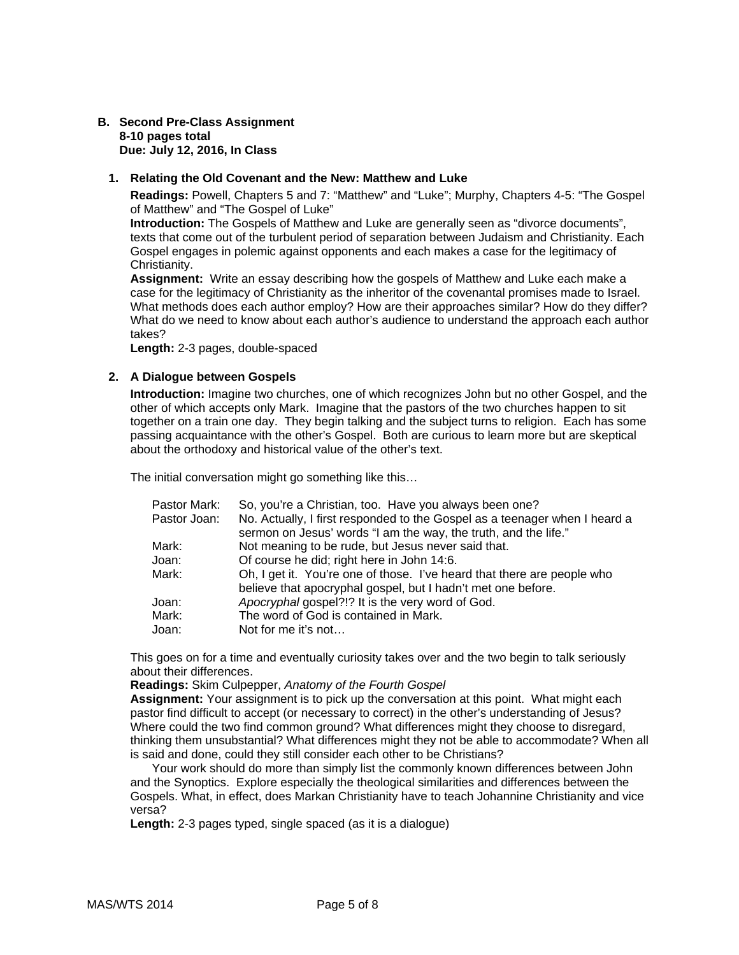#### **B. Second Pre-Class Assignment 8-10 pages total Due: July 12, 2016, In Class**

#### **1. Relating the Old Covenant and the New: Matthew and Luke**

**Readings:** Powell, Chapters 5 and 7: "Matthew" and "Luke"; Murphy, Chapters 4-5: "The Gospel of Matthew" and "The Gospel of Luke"

**Introduction:** The Gospels of Matthew and Luke are generally seen as "divorce documents", texts that come out of the turbulent period of separation between Judaism and Christianity. Each Gospel engages in polemic against opponents and each makes a case for the legitimacy of Christianity.

**Assignment:** Write an essay describing how the gospels of Matthew and Luke each make a case for the legitimacy of Christianity as the inheritor of the covenantal promises made to Israel. What methods does each author employ? How are their approaches similar? How do they differ? What do we need to know about each author's audience to understand the approach each author takes?

**Length:** 2-3 pages, double-spaced

#### **2. A Dialogue between Gospels**

**Introduction:** Imagine two churches, one of which recognizes John but no other Gospel, and the other of which accepts only Mark. Imagine that the pastors of the two churches happen to sit together on a train one day. They begin talking and the subject turns to religion. Each has some passing acquaintance with the other's Gospel. Both are curious to learn more but are skeptical about the orthodoxy and historical value of the other's text.

The initial conversation might go something like this…

| Pastor Mark: | So, you're a Christian, too. Have you always been one?                                                                                        |
|--------------|-----------------------------------------------------------------------------------------------------------------------------------------------|
| Pastor Joan: | No. Actually, I first responded to the Gospel as a teenager when I heard a<br>sermon on Jesus' words "I am the way, the truth, and the life." |
| Mark:        | Not meaning to be rude, but Jesus never said that.                                                                                            |
| Joan:        | Of course he did; right here in John 14:6.                                                                                                    |
| Mark:        | Oh, I get it. You're one of those. I've heard that there are people who<br>believe that apocryphal gospel, but I hadn't met one before.       |
| Joan:        | Apocryphal gospel?!? It is the very word of God.                                                                                              |
| Mark:        | The word of God is contained in Mark.                                                                                                         |
| Joan:        | Not for me it's not                                                                                                                           |
|              |                                                                                                                                               |

This goes on for a time and eventually curiosity takes over and the two begin to talk seriously about their differences.

**Readings:** Skim Culpepper, *Anatomy of the Fourth Gospel* 

**Assignment:** Your assignment is to pick up the conversation at this point. What might each pastor find difficult to accept (or necessary to correct) in the other's understanding of Jesus? Where could the two find common ground? What differences might they choose to disregard, thinking them unsubstantial? What differences might they not be able to accommodate? When all is said and done, could they still consider each other to be Christians?

 Your work should do more than simply list the commonly known differences between John and the Synoptics. Explore especially the theological similarities and differences between the Gospels. What, in effect, does Markan Christianity have to teach Johannine Christianity and vice versa?

**Length:** 2-3 pages typed, single spaced (as it is a dialogue)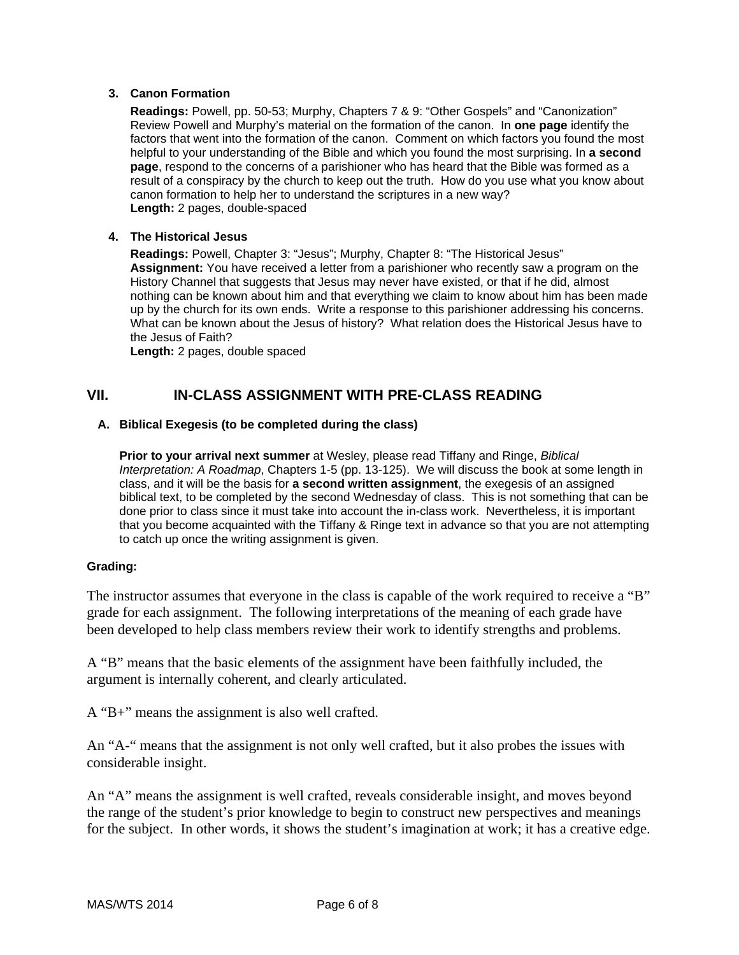## **3. Canon Formation**

**Readings:** Powell, pp. 50-53; Murphy, Chapters 7 & 9: "Other Gospels" and "Canonization" Review Powell and Murphy's material on the formation of the canon. In **one page** identify the factors that went into the formation of the canon. Comment on which factors you found the most helpful to your understanding of the Bible and which you found the most surprising. In **a second page**, respond to the concerns of a parishioner who has heard that the Bible was formed as a result of a conspiracy by the church to keep out the truth. How do you use what you know about canon formation to help her to understand the scriptures in a new way? **Length:** 2 pages, double-spaced

## **4. The Historical Jesus**

**Readings:** Powell, Chapter 3: "Jesus"; Murphy, Chapter 8: "The Historical Jesus" **Assignment:** You have received a letter from a parishioner who recently saw a program on the History Channel that suggests that Jesus may never have existed, or that if he did, almost nothing can be known about him and that everything we claim to know about him has been made up by the church for its own ends. Write a response to this parishioner addressing his concerns. What can be known about the Jesus of history? What relation does the Historical Jesus have to the Jesus of Faith?

**Length:** 2 pages, double spaced

## **VII. IN-CLASS ASSIGNMENT WITH PRE-CLASS READING**

#### **A. Biblical Exegesis (to be completed during the class)**

**Prior to your arrival next summer** at Wesley, please read Tiffany and Ringe, *Biblical Interpretation: A Roadmap*, Chapters 1-5 (pp. 13-125). We will discuss the book at some length in class, and it will be the basis for **a second written assignment**, the exegesis of an assigned biblical text, to be completed by the second Wednesday of class. This is not something that can be done prior to class since it must take into account the in-class work. Nevertheless, it is important that you become acquainted with the Tiffany & Ringe text in advance so that you are not attempting to catch up once the writing assignment is given.

#### **Grading:**

The instructor assumes that everyone in the class is capable of the work required to receive a "B" grade for each assignment. The following interpretations of the meaning of each grade have been developed to help class members review their work to identify strengths and problems.

A "B" means that the basic elements of the assignment have been faithfully included, the argument is internally coherent, and clearly articulated.

A "B+" means the assignment is also well crafted.

An "A-" means that the assignment is not only well crafted, but it also probes the issues with considerable insight.

An "A" means the assignment is well crafted, reveals considerable insight, and moves beyond the range of the student's prior knowledge to begin to construct new perspectives and meanings for the subject. In other words, it shows the student's imagination at work; it has a creative edge.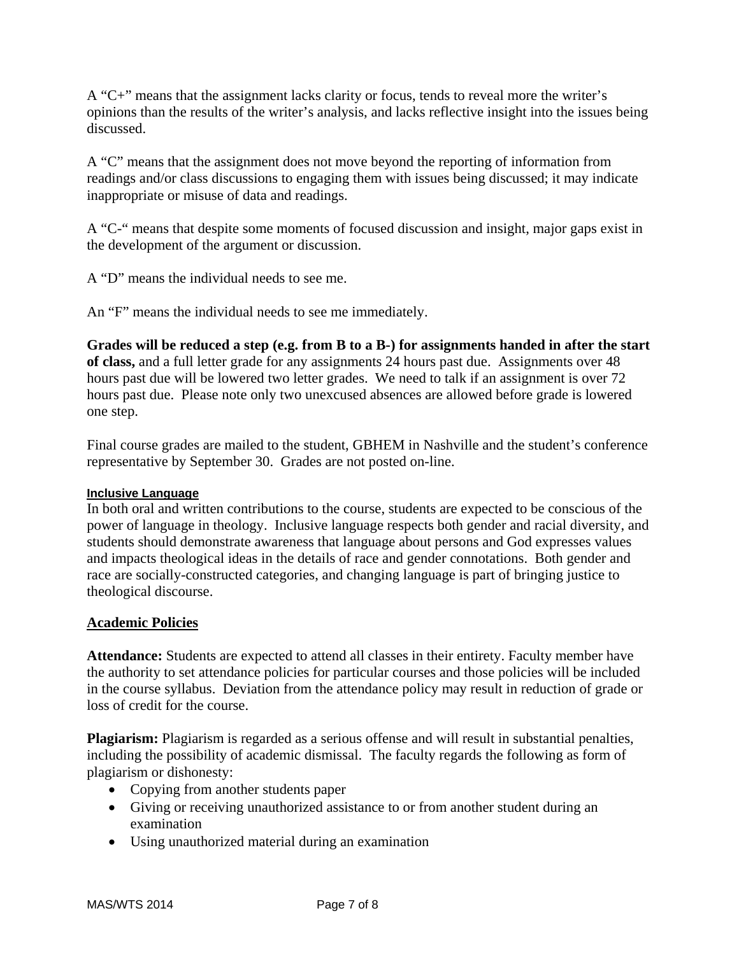A "C+" means that the assignment lacks clarity or focus, tends to reveal more the writer's opinions than the results of the writer's analysis, and lacks reflective insight into the issues being discussed.

A "C" means that the assignment does not move beyond the reporting of information from readings and/or class discussions to engaging them with issues being discussed; it may indicate inappropriate or misuse of data and readings.

A "C-" means that despite some moments of focused discussion and insight, major gaps exist in the development of the argument or discussion.

A "D" means the individual needs to see me.

An "F" means the individual needs to see me immediately.

**Grades will be reduced a step (e.g. from B to a B-) for assignments handed in after the start of class,** and a full letter grade for any assignments 24 hours past due. Assignments over 48 hours past due will be lowered two letter grades. We need to talk if an assignment is over 72 hours past due. Please note only two unexcused absences are allowed before grade is lowered one step.

Final course grades are mailed to the student, GBHEM in Nashville and the student's conference representative by September 30. Grades are not posted on-line.

## **Inclusive Language**

In both oral and written contributions to the course, students are expected to be conscious of the power of language in theology. Inclusive language respects both gender and racial diversity, and students should demonstrate awareness that language about persons and God expresses values and impacts theological ideas in the details of race and gender connotations. Both gender and race are socially-constructed categories, and changing language is part of bringing justice to theological discourse.

## **Academic Policies**

**Attendance:** Students are expected to attend all classes in their entirety. Faculty member have the authority to set attendance policies for particular courses and those policies will be included in the course syllabus. Deviation from the attendance policy may result in reduction of grade or loss of credit for the course.

**Plagiarism:** Plagiarism is regarded as a serious offense and will result in substantial penalties, including the possibility of academic dismissal. The faculty regards the following as form of plagiarism or dishonesty:

- Copying from another students paper
- Giving or receiving unauthorized assistance to or from another student during an examination
- Using unauthorized material during an examination